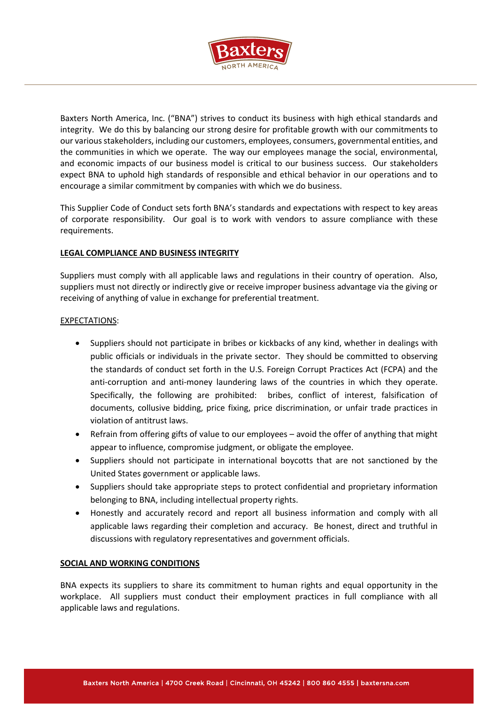

Baxters North America, Inc. ("BNA") strives to conduct its business with high ethical standards and integrity. We do this by balancing our strong desire for profitable growth with our commitments to our various stakeholders, including our customers, employees, consumers, governmental entities, and the communities in which we operate. The way our employees manage the social, environmental, and economic impacts of our business model is critical to our business success. Our stakeholders expect BNA to uphold high standards of responsible and ethical behavior in our operations and to encourage a similar commitment by companies with which we do business.

This Supplier Code of Conduct sets forth BNA's standards and expectations with respect to key areas of corporate responsibility. Our goal is to work with vendors to assure compliance with these requirements.

### **LEGAL COMPLIANCE AND BUSINESS INTEGRITY**

Suppliers must comply with all applicable laws and regulations in their country of operation. Also, suppliers must not directly or indirectly give or receive improper business advantage via the giving or receiving of anything of value in exchange for preferential treatment.

## EXPECTATIONS:

- Suppliers should not participate in bribes or kickbacks of any kind, whether in dealings with public officials or individuals in the private sector. They should be committed to observing the standards of conduct set forth in the U.S. Foreign Corrupt Practices Act (FCPA) and the anti-corruption and anti-money laundering laws of the countries in which they operate. Specifically, the following are prohibited: bribes, conflict of interest, falsification of documents, collusive bidding, price fixing, price discrimination, or unfair trade practices in violation of antitrust laws.
- Refrain from offering gifts of value to our employees avoid the offer of anything that might appear to influence, compromise judgment, or obligate the employee.
- Suppliers should not participate in international boycotts that are not sanctioned by the United States government or applicable laws.
- Suppliers should take appropriate steps to protect confidential and proprietary information belonging to BNA, including intellectual property rights.
- Honestly and accurately record and report all business information and comply with all applicable laws regarding their completion and accuracy. Be honest, direct and truthful in discussions with regulatory representatives and government officials.

# **SOCIAL AND WORKING CONDITIONS**

BNA expects its suppliers to share its commitment to human rights and equal opportunity in the workplace. All suppliers must conduct their employment practices in full compliance with all applicable laws and regulations.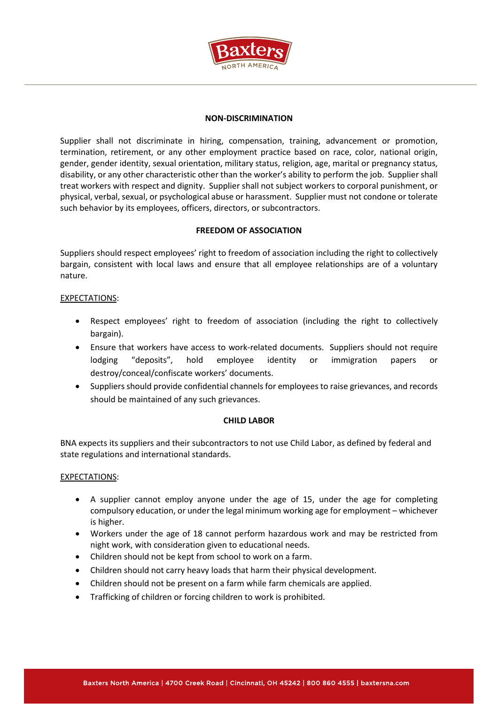

### **NON-DISCRIMINATION**

Supplier shall not discriminate in hiring, compensation, training, advancement or promotion, termination, retirement, or any other employment practice based on race, color, national origin, gender, gender identity, sexual orientation, military status, religion, age, marital or pregnancy status, disability, or any other characteristic other than the worker's ability to perform the job. Supplier shall treat workers with respect and dignity. Supplier shall not subject workers to corporal punishment, or physical, verbal, sexual, or psychological abuse or harassment. Supplier must not condone or tolerate such behavior by its employees, officers, directors, or subcontractors.

## **FREEDOM OF ASSOCIATION**

Suppliers should respect employees' right to freedom of association including the right to collectively bargain, consistent with local laws and ensure that all employee relationships are of a voluntary nature.

## EXPECTATIONS:

- Respect employees' right to freedom of association (including the right to collectively bargain).
- Ensure that workers have access to work-related documents. Suppliers should not require lodging "deposits", hold employee identity or immigration papers or destroy/conceal/confiscate workers' documents.
- Suppliers should provide confidential channels for employees to raise grievances, and records should be maintained of any such grievances.

### **CHILD LABOR**

BNA expects its suppliers and their subcontractors to not use Child Labor, as defined by federal and state regulations and international standards.

### EXPECTATIONS:

- A supplier cannot employ anyone under the age of 15, under the age for completing compulsory education, or under the legal minimum working age for employment – whichever is higher.
- Workers under the age of 18 cannot perform hazardous work and may be restricted from night work, with consideration given to educational needs.
- Children should not be kept from school to work on a farm.
- Children should not carry heavy loads that harm their physical development.
- Children should not be present on a farm while farm chemicals are applied.
- Trafficking of children or forcing children to work is prohibited.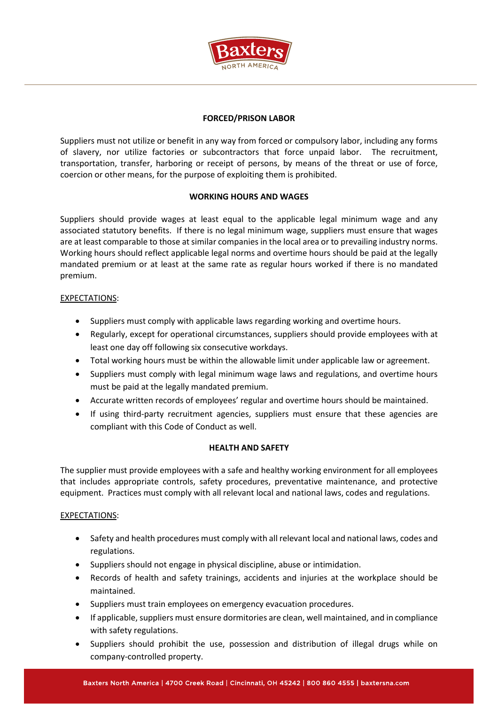

# **FORCED/PRISON LABOR**

Suppliers must not utilize or benefit in any way from forced or compulsory labor, including any forms of slavery, nor utilize factories or subcontractors that force unpaid labor. The recruitment, transportation, transfer, harboring or receipt of persons, by means of the threat or use of force, coercion or other means, for the purpose of exploiting them is prohibited.

### **WORKING HOURS AND WAGES**

Suppliers should provide wages at least equal to the applicable legal minimum wage and any associated statutory benefits. If there is no legal minimum wage, suppliers must ensure that wages are at least comparable to those at similar companies in the local area or to prevailing industry norms. Working hours should reflect applicable legal norms and overtime hours should be paid at the legally mandated premium or at least at the same rate as regular hours worked if there is no mandated premium.

## EXPECTATIONS:

- Suppliers must comply with applicable laws regarding working and overtime hours.
- Regularly, except for operational circumstances, suppliers should provide employees with at least one day off following six consecutive workdays.
- Total working hours must be within the allowable limit under applicable law or agreement.
- Suppliers must comply with legal minimum wage laws and regulations, and overtime hours must be paid at the legally mandated premium.
- Accurate written records of employees' regular and overtime hours should be maintained.
- If using third-party recruitment agencies, suppliers must ensure that these agencies are compliant with this Code of Conduct as well.

### **HEALTH AND SAFETY**

The supplier must provide employees with a safe and healthy working environment for all employees that includes appropriate controls, safety procedures, preventative maintenance, and protective equipment. Practices must comply with all relevant local and national laws, codes and regulations.

### EXPECTATIONS:

- Safety and health procedures must comply with all relevant local and national laws, codes and regulations.
- Suppliers should not engage in physical discipline, abuse or intimidation.
- Records of health and safety trainings, accidents and injuries at the workplace should be maintained.
- Suppliers must train employees on emergency evacuation procedures.
- If applicable, suppliers must ensure dormitories are clean, well maintained, and in compliance with safety regulations.
- Suppliers should prohibit the use, possession and distribution of illegal drugs while on company-controlled property.